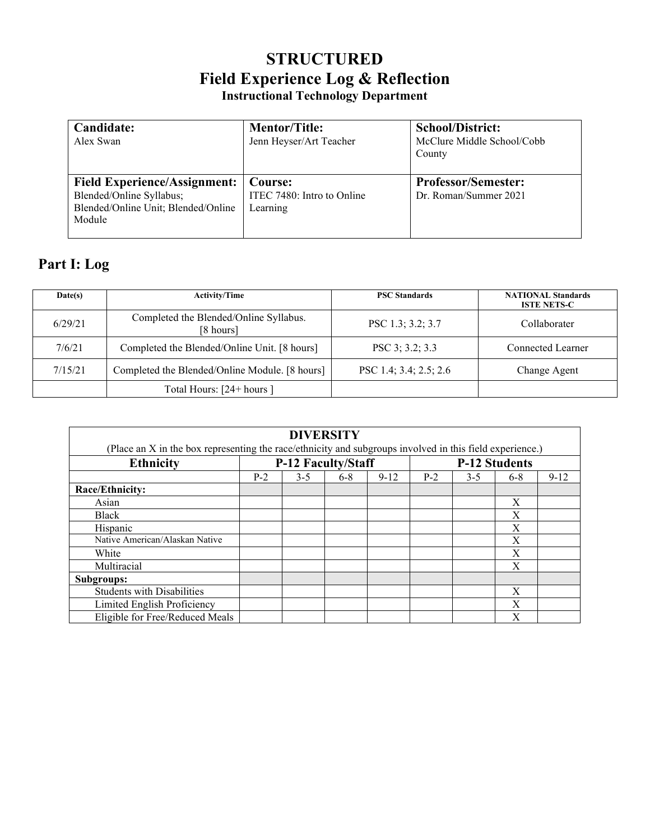# **STRUCTURED Field Experience Log & Reflection Instructional Technology Department**

| Candidate:<br>Alex Swan                                                                                          | <b>Mentor/Title:</b><br>Jenn Heyser/Art Teacher   | <b>School/District:</b><br>McClure Middle School/Cobb<br>County |
|------------------------------------------------------------------------------------------------------------------|---------------------------------------------------|-----------------------------------------------------------------|
| <b>Field Experience/Assignment:</b><br>Blended/Online Syllabus;<br>Blended/Online Unit; Blended/Online<br>Module | Course:<br>ITEC 7480: Intro to Online<br>Learning | <b>Professor/Semester:</b><br>Dr. Roman/Summer 2021             |

# **Part I: Log**

| Date(s) | <b>Activity/Time</b>                                | <b>PSC Standards</b>   | <b>NATIONAL Standards</b><br><b>ISTE NETS-C</b> |  |  |
|---------|-----------------------------------------------------|------------------------|-------------------------------------------------|--|--|
| 6/29/21 | Completed the Blended/Online Syllabus.<br>[8 hours] | PSC 1.3; 3.2; 3.7      | Collaborater                                    |  |  |
| 7/6/21  | Completed the Blended/Online Unit. [8 hours]        | PSC 3; 3.2; 3.3        | Connected Learner                               |  |  |
| 7/15/21 | Completed the Blended/Online Module. [8 hours]      | PSC 1.4; 3.4; 2.5; 2.6 | Change Agent                                    |  |  |
|         | Total Hours: [24+ hours ]                           |                        |                                                 |  |  |

| <b>DIVERSITY</b>                                                                                         |                           |         |         |                      |       |         |         |          |  |  |  |
|----------------------------------------------------------------------------------------------------------|---------------------------|---------|---------|----------------------|-------|---------|---------|----------|--|--|--|
| (Place an X in the box representing the race/ethnicity and subgroups involved in this field experience.) |                           |         |         |                      |       |         |         |          |  |  |  |
| <b>Ethnicity</b>                                                                                         | <b>P-12 Faculty/Staff</b> |         |         | <b>P-12 Students</b> |       |         |         |          |  |  |  |
|                                                                                                          | $P-2$                     | $3 - 5$ | $6 - 8$ | $9 - 12$             | $P-2$ | $3 - 5$ | $6 - 8$ | $9 - 12$ |  |  |  |
| Race/Ethnicity:                                                                                          |                           |         |         |                      |       |         |         |          |  |  |  |
| Asian                                                                                                    |                           |         |         |                      |       |         | X       |          |  |  |  |
| <b>Black</b>                                                                                             |                           |         |         |                      |       |         | X       |          |  |  |  |
| Hispanic                                                                                                 |                           |         |         |                      |       |         | Χ       |          |  |  |  |
| Native American/Alaskan Native                                                                           |                           |         |         |                      |       |         | X       |          |  |  |  |
| White                                                                                                    |                           |         |         |                      |       |         | X       |          |  |  |  |
| Multiracial                                                                                              |                           |         |         |                      |       |         | X       |          |  |  |  |
| Subgroups:                                                                                               |                           |         |         |                      |       |         |         |          |  |  |  |
| <b>Students with Disabilities</b>                                                                        |                           |         |         |                      |       |         | X       |          |  |  |  |
| Limited English Proficiency                                                                              |                           |         |         |                      |       |         | X       |          |  |  |  |
| Eligible for Free/Reduced Meals                                                                          |                           |         |         |                      |       |         | X       |          |  |  |  |